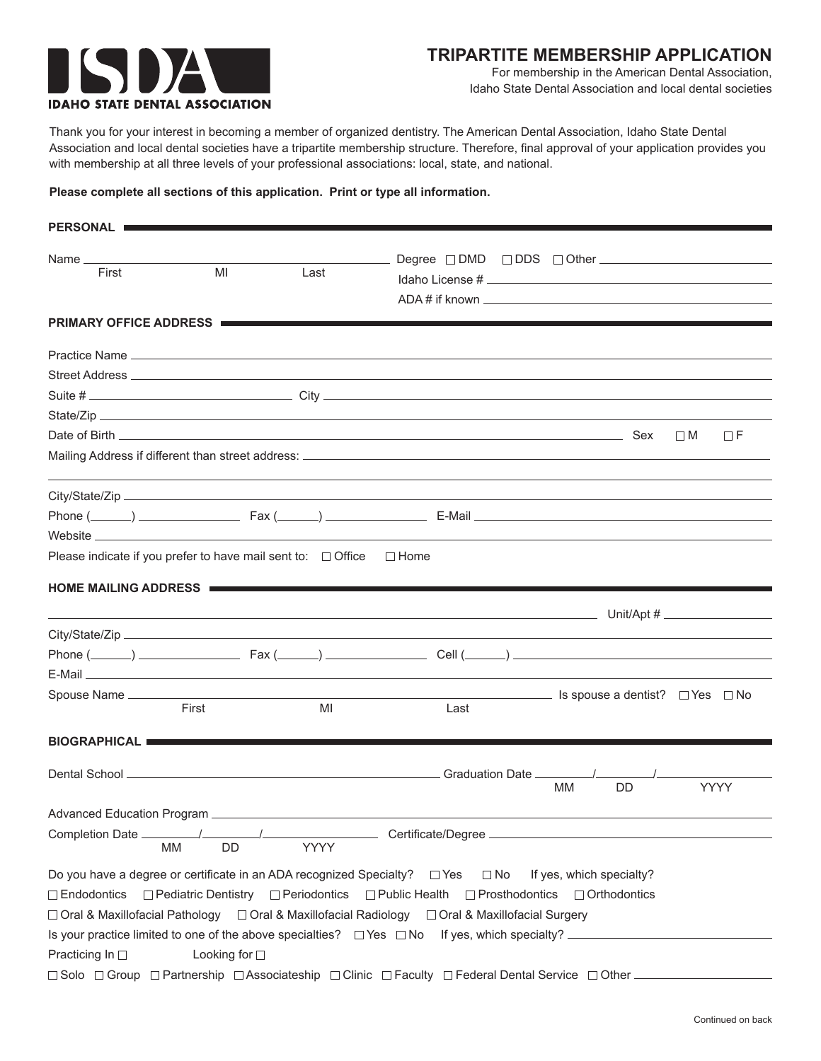

For membership in the American Dental Association, Idaho State Dental Association and local dental societies

Thank you for your interest in becoming a member of organized dentistry. The American Dental Association, Idaho State Dental Association and local dental societies have a tripartite membership structure. Therefore, final approval of your application provides you with membership at all three levels of your professional associations: local, state, and national.

## **Please complete all sections of this application. Print or type all information.**

| PERSONAL                                                                                                     |               |      |                                                                                                                                                                                                                                                                                                                                                  |                                                    |          |             |
|--------------------------------------------------------------------------------------------------------------|---------------|------|--------------------------------------------------------------------------------------------------------------------------------------------------------------------------------------------------------------------------------------------------------------------------------------------------------------------------------------------------|----------------------------------------------------|----------|-------------|
| Name $\_\_$                                                                                                  |               |      |                                                                                                                                                                                                                                                                                                                                                  |                                                    |          |             |
| First                                                                                                        | MI            | Last |                                                                                                                                                                                                                                                                                                                                                  |                                                    |          |             |
|                                                                                                              |               |      |                                                                                                                                                                                                                                                                                                                                                  |                                                    |          |             |
| <b>PRIMARY OFFICE ADDRESS I</b>                                                                              |               |      |                                                                                                                                                                                                                                                                                                                                                  |                                                    |          |             |
|                                                                                                              |               |      |                                                                                                                                                                                                                                                                                                                                                  |                                                    |          |             |
|                                                                                                              |               |      |                                                                                                                                                                                                                                                                                                                                                  |                                                    |          |             |
|                                                                                                              |               |      |                                                                                                                                                                                                                                                                                                                                                  |                                                    |          |             |
|                                                                                                              |               |      |                                                                                                                                                                                                                                                                                                                                                  |                                                    |          |             |
|                                                                                                              |               |      |                                                                                                                                                                                                                                                                                                                                                  |                                                    | $\Box$ M | ΠF          |
|                                                                                                              |               |      |                                                                                                                                                                                                                                                                                                                                                  |                                                    |          |             |
|                                                                                                              |               |      |                                                                                                                                                                                                                                                                                                                                                  |                                                    |          |             |
|                                                                                                              |               |      |                                                                                                                                                                                                                                                                                                                                                  |                                                    |          |             |
|                                                                                                              |               |      |                                                                                                                                                                                                                                                                                                                                                  |                                                    |          |             |
| Please indicate if you prefer to have mail sent to: $\Box$ Office                                            |               |      | $\Box$ Home                                                                                                                                                                                                                                                                                                                                      |                                                    |          |             |
| <b>HOME MAILING ADDRESS I</b>                                                                                |               |      |                                                                                                                                                                                                                                                                                                                                                  |                                                    |          |             |
|                                                                                                              |               |      |                                                                                                                                                                                                                                                                                                                                                  |                                                    |          |             |
|                                                                                                              |               |      |                                                                                                                                                                                                                                                                                                                                                  |                                                    |          |             |
|                                                                                                              |               |      |                                                                                                                                                                                                                                                                                                                                                  |                                                    |          |             |
|                                                                                                              | First         | MI   | Last                                                                                                                                                                                                                                                                                                                                             | <u>Subsequence</u> Is spouse a dentist? □ Yes □ No |          |             |
| BIOGRAPHICAL                                                                                                 |               |      |                                                                                                                                                                                                                                                                                                                                                  |                                                    |          |             |
|                                                                                                              |               |      | Dental School League and Contract and Contract and Contract and Contract and Contract and Contract and Contract and Contract and Contract and Contract and Contract and Contract and Contract and Contract and Contract and Co                                                                                                                   | <b>DD</b><br>MМ                                    |          | <b>YYYY</b> |
|                                                                                                              |               |      |                                                                                                                                                                                                                                                                                                                                                  |                                                    |          |             |
| Completion Date _______<br>MМ                                                                                | DD            | YYYY | Certificate/Degree                                                                                                                                                                                                                                                                                                                               |                                                    |          |             |
| Do you have a degree or certificate in an ADA recognized Specialty? $\square$ Yes<br>Practicing In $\square$ | Looking for □ |      | $\square$ No<br>$\Box$ Endodontics $\Box$ Pediatric Dentistry $\Box$ Periodontics $\Box$ Public Health $\Box$ Prosthodontics<br>□ Oral & Maxillofacial Pathology □ Oral & Maxillofacial Radiology □ Oral & Maxillofacial Surgery<br>Is your practice limited to one of the above specialties? $\Box$ Yes $\Box$ No If yes, which specialty? ____ | If yes, which specialty?<br>$\Box$ Orthodontics    |          |             |
| □ Solo □ Group □ Partnership □ Associateship □ Clinic □ Faculty □ Federal Dental Service □ Other _           |               |      |                                                                                                                                                                                                                                                                                                                                                  |                                                    |          |             |